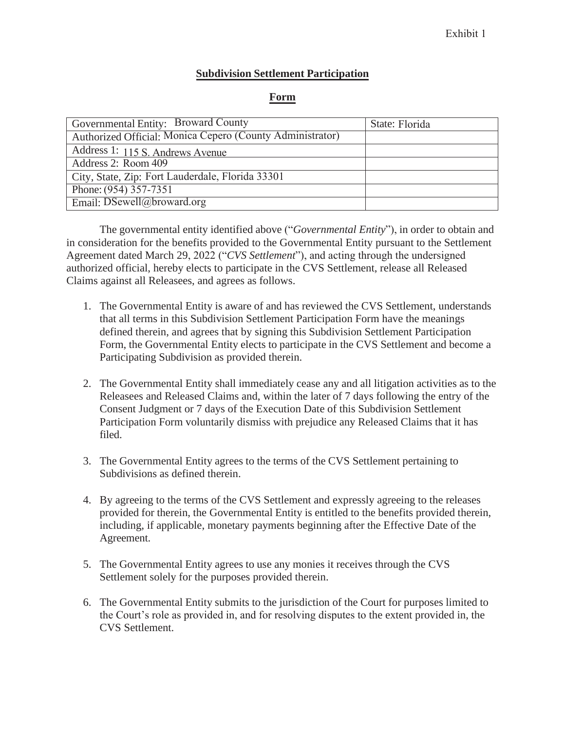## **Subdivision Settlement Participation**

## **Form**

| Governmental Entity: Broward County                       | State: Florida |
|-----------------------------------------------------------|----------------|
| Authorized Official: Monica Cepero (County Administrator) |                |
| Address 1: 115 S. Andrews Avenue                          |                |
| Address 2: Room 409                                       |                |
| City, State, Zip: Fort Lauderdale, Florida 33301          |                |
| Phone: (954) 357-7351                                     |                |
| Email: $D$ Sewell@broward.org                             |                |

The governmental entity identified above ("*Governmental Entity*"), in order to obtain and in consideration for the benefits provided to the Governmental Entity pursuant to the Settlement Agreement dated March 29, 2022 ("*CVS Settlement*"), and acting through the undersigned authorized official, hereby elects to participate in the CVS Settlement, release all Released Claims against all Releasees, and agrees as follows.

- 1. The Governmental Entity is aware of and has reviewed the CVS Settlement, understands that all terms in this Subdivision Settlement Participation Form have the meanings defined therein, and agrees that by signing this Subdivision Settlement Participation Form, the Governmental Entity elects to participate in the CVS Settlement and become a Participating Subdivision as provided therein.
- 2. The Governmental Entity shall immediately cease any and all litigation activities as to the Releasees and Released Claims and, within the later of 7 days following the entry of the Consent Judgment or 7 days of the Execution Date of this Subdivision Settlement Participation Form voluntarily dismiss with prejudice any Released Claims that it has filed.
- 3. The Governmental Entity agrees to the terms of the CVS Settlement pertaining to Subdivisions as defined therein.
- 4. By agreeing to the terms of the CVS Settlement and expressly agreeing to the releases provided for therein, the Governmental Entity is entitled to the benefits provided therein, including, if applicable, monetary payments beginning after the Effective Date of the Agreement.
- 5. The Governmental Entity agrees to use any monies it receives through the CVS Settlement solely for the purposes provided therein.
- 6. The Governmental Entity submits to the jurisdiction of the Court for purposes limited to the Court's role as provided in, and for resolving disputes to the extent provided in, the CVS Settlement.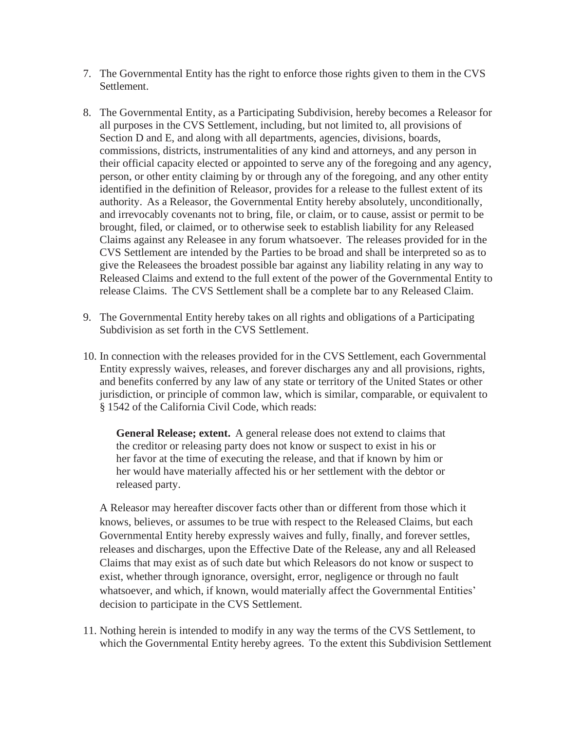- 7. The Governmental Entity has the right to enforce those rights given to them in the CVS Settlement.
- 8. The Governmental Entity, as a Participating Subdivision, hereby becomes a Releasor for all purposes in the CVS Settlement, including, but not limited to, all provisions of Section D and E, and along with all departments, agencies, divisions, boards, commissions, districts, instrumentalities of any kind and attorneys, and any person in their official capacity elected or appointed to serve any of the foregoing and any agency, person, or other entity claiming by or through any of the foregoing, and any other entity identified in the definition of Releasor, provides for a release to the fullest extent of its authority. As a Releasor, the Governmental Entity hereby absolutely, unconditionally, and irrevocably covenants not to bring, file, or claim, or to cause, assist or permit to be brought, filed, or claimed, or to otherwise seek to establish liability for any Released Claims against any Releasee in any forum whatsoever. The releases provided for in the CVS Settlement are intended by the Parties to be broad and shall be interpreted so as to give the Releasees the broadest possible bar against any liability relating in any way to Released Claims and extend to the full extent of the power of the Governmental Entity to release Claims. The CVS Settlement shall be a complete bar to any Released Claim.
- 9. The Governmental Entity hereby takes on all rights and obligations of a Participating Subdivision as set forth in the CVS Settlement.
- 10. In connection with the releases provided for in the CVS Settlement, each Governmental Entity expressly waives, releases, and forever discharges any and all provisions, rights, and benefits conferred by any law of any state or territory of the United States or other jurisdiction, or principle of common law, which is similar, comparable, or equivalent to § 1542 of the California Civil Code, which reads:

**General Release; extent.** A general release does not extend to claims that the creditor or releasing party does not know or suspect to exist in his or her favor at the time of executing the release, and that if known by him or her would have materially affected his or her settlement with the debtor or released party.

A Releasor may hereafter discover facts other than or different from those which it knows, believes, or assumes to be true with respect to the Released Claims, but each Governmental Entity hereby expressly waives and fully, finally, and forever settles, releases and discharges, upon the Effective Date of the Release, any and all Released Claims that may exist as of such date but which Releasors do not know or suspect to exist, whether through ignorance, oversight, error, negligence or through no fault whatsoever, and which, if known, would materially affect the Governmental Entities' decision to participate in the CVS Settlement.

11. Nothing herein is intended to modify in any way the terms of the CVS Settlement, to which the Governmental Entity hereby agrees. To the extent this Subdivision Settlement